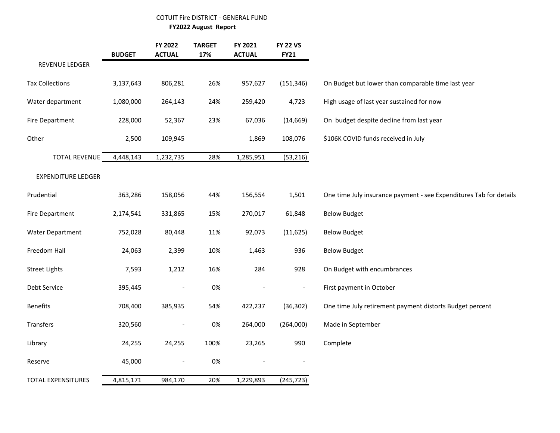# COTUIT Fire DISTRICT - GENERAL FUND

 **FY2022 August Report**

|                           | <b>BUDGET</b> | FY 2022<br><b>ACTUAL</b> | <b>TARGET</b><br>17% | FY 2021<br><b>ACTUAL</b> | <b>FY 22 VS</b><br><b>FY21</b> |                                                                    |
|---------------------------|---------------|--------------------------|----------------------|--------------------------|--------------------------------|--------------------------------------------------------------------|
| REVENUE LEDGER            |               |                          |                      |                          |                                |                                                                    |
| <b>Tax Collections</b>    | 3,137,643     | 806,281                  | 26%                  | 957,627                  | (151, 346)                     | On Budget but lower than comparable time last year                 |
| Water department          | 1,080,000     | 264,143                  | 24%                  | 259,420                  | 4,723                          | High usage of last year sustained for now                          |
| <b>Fire Department</b>    | 228,000       | 52,367                   | 23%                  | 67,036                   | (14, 669)                      | On budget despite decline from last year                           |
| Other                     | 2,500         | 109,945                  |                      | 1,869                    | 108,076                        | \$106K COVID funds received in July                                |
| <b>TOTAL REVENUE</b>      | 4,448,143     | 1,232,735                | 28%                  | 1,285,951                | (53, 216)                      |                                                                    |
| <b>EXPENDITURE LEDGER</b> |               |                          |                      |                          |                                |                                                                    |
| Prudential                | 363,286       | 158,056                  | 44%                  | 156,554                  | 1,501                          | One time July insurance payment - see Expenditures Tab for details |
| <b>Fire Department</b>    | 2,174,541     | 331,865                  | 15%                  | 270,017                  | 61,848                         | <b>Below Budget</b>                                                |
| Water Department          | 752,028       | 80,448                   | 11%                  | 92,073                   | (11, 625)                      | <b>Below Budget</b>                                                |
| Freedom Hall              | 24,063        | 2,399                    | 10%                  | 1,463                    | 936                            | <b>Below Budget</b>                                                |
| <b>Street Lights</b>      | 7,593         | 1,212                    | 16%                  | 284                      | 928                            | On Budget with encumbrances                                        |
| Debt Service              | 395,445       | $\overline{\phantom{0}}$ | 0%                   |                          | $\qquad \qquad \blacksquare$   | First payment in October                                           |
| <b>Benefits</b>           | 708,400       | 385,935                  | 54%                  | 422,237                  | (36, 302)                      | One time July retirement payment distorts Budget percent           |
| Transfers                 | 320,560       | $\overline{\phantom{a}}$ | 0%                   | 264,000                  | (264,000)                      | Made in September                                                  |
| Library                   | 24,255        | 24,255                   | 100%                 | 23,265                   | 990                            | Complete                                                           |
| Reserve                   | 45,000        | $\overline{\phantom{a}}$ | 0%                   |                          |                                |                                                                    |
| <b>TOTAL EXPENSITURES</b> | 4,815,171     | 984,170                  | 20%                  | 1,229,893                | (245, 723)                     |                                                                    |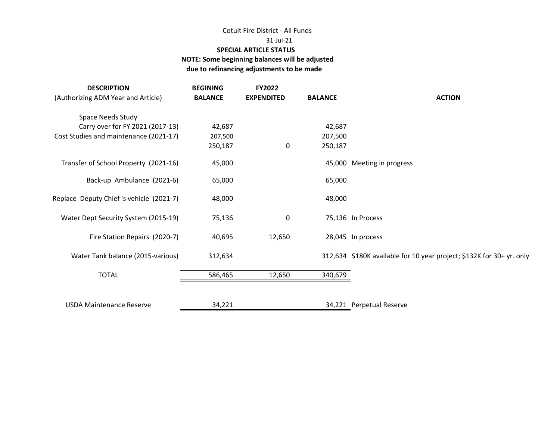# Cotuit Fire District - All Funds

#### 31-Jul-21

### **SPECIAL ARTICLE STATUS**

## **NOTE: Some beginning balances will be adjusted due to refinancing adjustments to be made**

| <b>DESCRIPTION</b><br>(Authorizing ADM Year and Article) | <b>BEGINING</b><br><b>BALANCE</b> | FY2022<br><b>EXPENDITED</b> | <b>BALANCE</b> | <b>ACTION</b>                                                         |
|----------------------------------------------------------|-----------------------------------|-----------------------------|----------------|-----------------------------------------------------------------------|
| Space Needs Study                                        |                                   |                             |                |                                                                       |
| Carry over for FY 2021 (2017-13)                         | 42,687                            |                             | 42,687         |                                                                       |
| Cost Studies and maintenance (2021-17)                   | 207,500                           |                             | 207,500        |                                                                       |
|                                                          | 250,187                           | $\Omega$                    | 250,187        |                                                                       |
| Transfer of School Property (2021-16)                    | 45,000                            |                             |                | 45,000 Meeting in progress                                            |
| Back-up Ambulance (2021-6)                               | 65,000                            |                             | 65,000         |                                                                       |
| Replace Deputy Chief's vehicle (2021-7)                  | 48,000                            |                             | 48,000         |                                                                       |
| Water Dept Security System (2015-19)                     | 75,136                            | 0                           |                | 75,136 In Process                                                     |
| Fire Station Repairs (2020-7)                            | 40,695                            | 12,650                      |                | 28,045 In process                                                     |
| Water Tank balance (2015-various)                        | 312,634                           |                             |                | 312,634 \$180K available for 10 year project; \$132K for 30+ yr. only |
| <b>TOTAL</b>                                             | 586,465                           | 12,650                      | 340,679        |                                                                       |
|                                                          |                                   |                             |                |                                                                       |
| <b>USDA Maintenance Reserve</b>                          | 34,221                            |                             |                | 34,221 Perpetual Reserve                                              |
|                                                          |                                   |                             |                |                                                                       |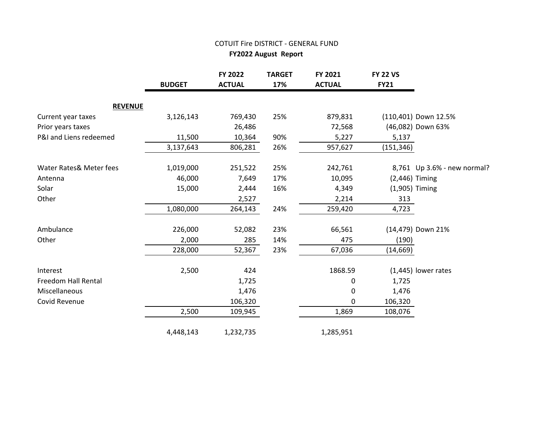# COTUIT Fire DISTRICT - GENERAL FUND

 **FY2022 August Report**

|                            | <b>BUDGET</b> | FY 2022<br><b>ACTUAL</b> | <b>TARGET</b><br>17% | FY 2021<br><b>ACTUAL</b> | <b>FY 22 VS</b><br><b>FY21</b> |                             |
|----------------------------|---------------|--------------------------|----------------------|--------------------------|--------------------------------|-----------------------------|
| <b>REVENUE</b>             |               |                          |                      |                          |                                |                             |
| Current year taxes         | 3,126,143     | 769,430                  | 25%                  | 879,831                  |                                | (110,401) Down 12.5%        |
| Prior years taxes          |               | 26,486                   |                      | 72,568                   |                                | (46,082) Down 63%           |
| P&I and Liens redeemed     | 11,500        | 10,364                   | 90%                  | 5,227                    | 5,137                          |                             |
|                            | 3,137,643     | 806,281                  | 26%                  | 957,627                  | (151, 346)                     |                             |
| Water Rates& Meter fees    | 1,019,000     | 251,522                  | 25%                  | 242,761                  |                                | 8,761 Up 3.6% - new normal? |
| Antenna                    | 46,000        | 7,649                    | 17%                  | 10,095                   |                                | $(2,446)$ Timing            |
| Solar                      | 15,000        | 2,444                    | 16%                  | 4,349                    |                                | (1,905) Timing              |
| Other                      |               | 2,527                    |                      | 2,214                    | 313                            |                             |
|                            | 1,080,000     | 264,143                  | 24%                  | 259,420                  | 4,723                          |                             |
| Ambulance                  | 226,000       | 52,082                   | 23%                  | 66,561                   |                                | (14,479) Down 21%           |
| Other                      | 2,000         | 285                      | 14%                  | 475                      | (190)                          |                             |
|                            | 228,000       | 52,367                   | 23%                  | 67,036                   | (14, 669)                      |                             |
| Interest                   | 2,500         | 424                      |                      | 1868.59                  |                                | $(1,445)$ lower rates       |
| <b>Freedom Hall Rental</b> |               | 1,725                    |                      | 0                        | 1,725                          |                             |
| Miscellaneous              |               | 1,476                    |                      | $\mathbf 0$              | 1,476                          |                             |
| Covid Revenue              |               | 106,320                  |                      | 0                        | 106,320                        |                             |
|                            | 2,500         | 109,945                  |                      | 1,869                    | 108,076                        |                             |
|                            | 4,448,143     | 1,232,735                |                      | 1,285,951                |                                |                             |